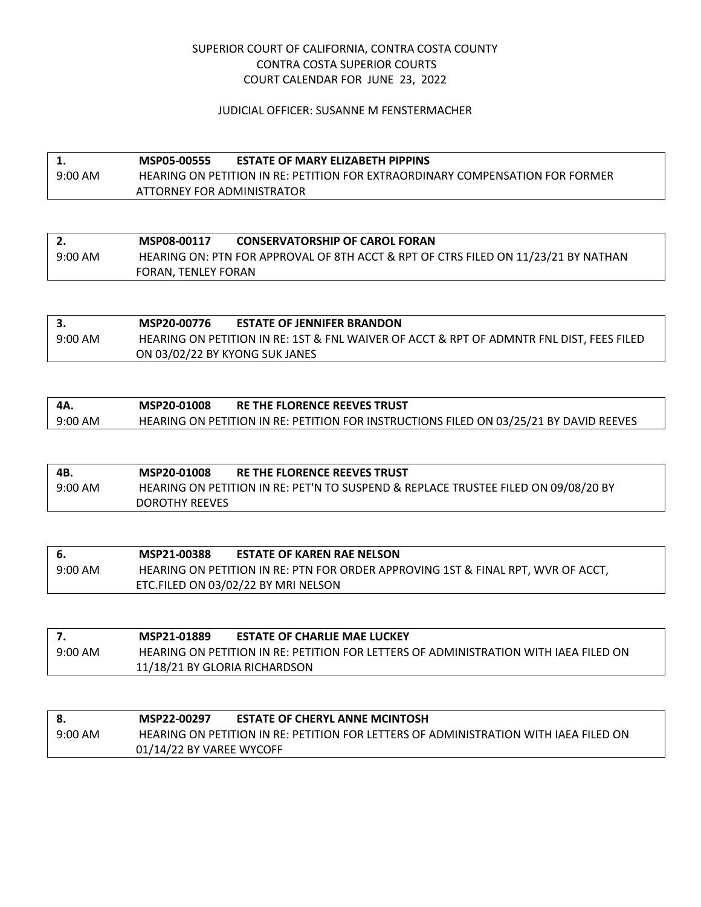## SUPERIOR COURT OF CALIFORNIA, CONTRA COSTA COUNTY CONTRA COSTA SUPERIOR COURTS COURT CALENDAR FOR JUNE 23, 2022

### JUDICIAL OFFICER: SUSANNE M FENSTERMACHER

# **1. MSP05-00555 ESTATE OF MARY ELIZABETH PIPPINS** 9:00 AM HEARING ON PETITION IN RE: PETITION FOR EXTRAORDINARY COMPENSATION FOR FORMER ATTORNEY FOR ADMINISTRATOR

|           | MSP08-00117         | <b>CONSERVATORSHIP OF CAROL FORAN</b>                                              |
|-----------|---------------------|------------------------------------------------------------------------------------|
| $9:00$ AM |                     | HEARING ON: PTN FOR APPROVAL OF 8TH ACCT & RPT OF CTRS FILED ON 11/23/21 BY NATHAN |
|           | FORAN, TENLEY FORAN |                                                                                    |

|           | MSP20-00776                    | <b>ESTATE OF JENNIFER BRANDON</b>                                                        |
|-----------|--------------------------------|------------------------------------------------------------------------------------------|
| $9:00$ AM |                                | HEARING ON PETITION IN RE: 1ST & FNL WAIVER OF ACCT & RPT OF ADMNTR FNL DIST, FEES FILED |
|           | ON 03/02/22 BY KYONG SUK JANES |                                                                                          |

| 4A.       | MSP20-01008 | RE THE FLORENCE REEVES TRUST                                                           |
|-----------|-------------|----------------------------------------------------------------------------------------|
| $9:00$ AM |             | HEARING ON PETITION IN RE: PETITION FOR INSTRUCTIONS FILED ON 03/25/21 BY DAVID REEVES |

| 4B.       | MSP20-01008           | <b>RE THE FLORENCE REEVES TRUST</b>                                                |
|-----------|-----------------------|------------------------------------------------------------------------------------|
| $9:00$ AM |                       | HEARING ON PETITION IN RE: PET'N TO SUSPEND & REPLACE TRUSTEE FILED ON 09/08/20 BY |
|           | <b>DOROTHY REEVES</b> |                                                                                    |

| - 6.      | MSP21-00388 | <b>ESTATE OF KAREN RAE NELSON</b>                                                |
|-----------|-------------|----------------------------------------------------------------------------------|
| $9:00$ AM |             | HEARING ON PETITION IN RE: PTN FOR ORDER APPROVING 1ST & FINAL RPT, WVR OF ACCT, |
|           |             | ETC.FILED ON 03/02/22 BY MRI NELSON                                              |

|           | MSP21-01889                   | <b>ESTATE OF CHARLIE MAE LUCKEY</b>                                                  |
|-----------|-------------------------------|--------------------------------------------------------------------------------------|
| $9:00$ AM |                               | HEARING ON PETITION IN RE: PETITION FOR LETTERS OF ADMINISTRATION WITH IAEA FILED ON |
|           | 11/18/21 BY GLORIA RICHARDSON |                                                                                      |

|           | MSP22-00297              | <b>ESTATE OF CHERYL ANNE MCINTOSH</b>                                                |
|-----------|--------------------------|--------------------------------------------------------------------------------------|
| $9:00$ AM |                          | HEARING ON PETITION IN RE: PETITION FOR LETTERS OF ADMINISTRATION WITH IAEA FILED ON |
|           | 01/14/22 BY VAREE WYCOFF |                                                                                      |